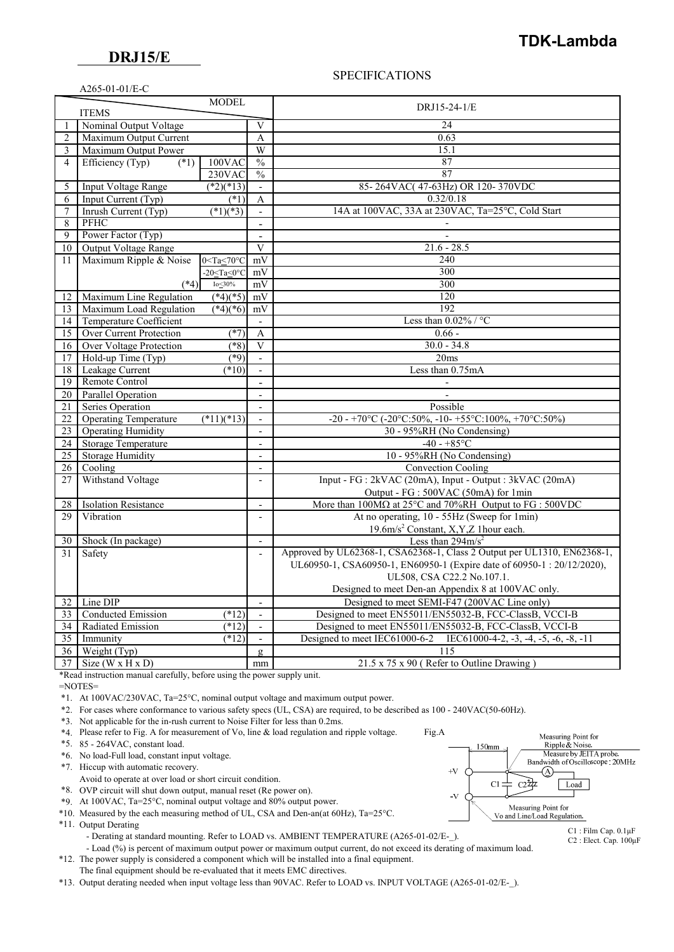## **DRJ15/E**

 $A265-01-01/\text{E}$ C

## **TDK-Lambda**

#### SPECIFICATIONS

|                 | <b>ITEMS</b>                   | <b>MODEL</b>                 |                          | DRJ15-24-1/E                                                                            |  |
|-----------------|--------------------------------|------------------------------|--------------------------|-----------------------------------------------------------------------------------------|--|
| $\mathbf{1}$    | Nominal Output Voltage         |                              | V                        | 24                                                                                      |  |
| $\overline{2}$  | Maximum Output Current         |                              | A                        | 0.63                                                                                    |  |
| 3               | Maximum Output Power           |                              | W                        | 15.1                                                                                    |  |
| $\overline{4}$  | Efficiency (Typ)<br>(1)        | $100$ VAC                    | $\frac{0}{0}$            | 87                                                                                      |  |
|                 |                                | 230VAC                       | $\frac{0}{0}$            | 87                                                                                      |  |
| 5               | <b>Input Voltage Range</b>     | $(*2)(*13)$                  | $\mathbf{r}$             | 85-264VAC(47-63Hz) OR 120-370VDC                                                        |  |
| 6               | Input Current (Typ)            | (1)                          | A                        | 0.32/0.18                                                                               |  |
| $\tau$          | Inrush Current (Typ)           | $(*1)(*3)$                   | $\mathbf{r}$             | 14A at 100VAC, 33A at 230VAC, Ta=25°C, Cold Start                                       |  |
| 8               | <b>PFHC</b>                    |                              |                          |                                                                                         |  |
| 9               | Power Factor (Typ)             |                              | $\sim$                   |                                                                                         |  |
| 10              | <b>Output Voltage Range</b>    |                              | V                        | $21.6 - 28.5$                                                                           |  |
| 11              | Maximum Ripple & Noise         | $0 < Ta < 70^{\circ}C$       | mV                       | 240                                                                                     |  |
|                 |                                | $-20 <$ Ta $<$ 0 $\degree$ C | mV                       | 300                                                                                     |  |
|                 | $(*4)$                         | Io $\leq$ 30%                | mV                       | 300                                                                                     |  |
| 12              | Maximum Line Regulation        | $(*4)(*5)$                   | mV                       | 120                                                                                     |  |
| 13              | Maximum Load Regulation        | $(*4)(*6)$                   | mV                       | 192                                                                                     |  |
|                 | 14 Temperature Coefficient     |                              | $\sim$                   | Less than $0.02\%$ / °C                                                                 |  |
| 15              | <b>Over Current Protection</b> | $(*7)$                       | A                        | $0.66 -$                                                                                |  |
| 16              | <b>Over Voltage Protection</b> | $(*8)$                       | V                        | $30.0 - 34.8$                                                                           |  |
| 17              | Hold-up Time (Typ)             | $(*9)$                       | $\mathcal{L}$            | 20ms                                                                                    |  |
| 18              | Leakage Current                | (10)                         |                          | Less than 0.75mA                                                                        |  |
| 19              | Remote Control                 |                              | $\overline{a}$           |                                                                                         |  |
| 20              | Parallel Operation             |                              | $\overline{\phantom{a}}$ |                                                                                         |  |
| 21              | Series Operation               |                              |                          | Possible                                                                                |  |
| 22              | <b>Operating Temperature</b>   | $(*11)(*13)$                 | $\overline{\phantom{a}}$ | -20 - +70°C (-20°C:50%, -10 - +55°C:100%, +70°C:50%)                                    |  |
| 23              | <b>Operating Humidity</b>      |                              | $\sim$                   | 30 - 95%RH (No Condensing)                                                              |  |
| 24              | <b>Storage Temperature</b>     |                              | $\mathbf{r}$             | $-40 - +85$ °C                                                                          |  |
| 25              | <b>Storage Humidity</b>        |                              | $\overline{a}$           | 10 - 95%RH (No Condensing)                                                              |  |
| 26              | $\overline{\text{Cooling}}$    |                              | $\overline{\phantom{a}}$ | <b>Convection Cooling</b>                                                               |  |
| 27              | Withstand Voltage              |                              | $\overline{a}$           | Input - FG : 2kVAC (20mA), Input - Output : 3kVAC (20mA)                                |  |
|                 |                                |                              |                          | Output - FG : 500VAC (50mA) for 1min                                                    |  |
| 28              | <b>Isolation Resistance</b>    |                              | $\sim$                   | More than $100M\Omega$ at $25^{\circ}$ C and $70\%$ RH Output to FG : $500$ VDC         |  |
| 29              | Vibration                      |                              | $\overline{a}$           | At no operating, 10 - 55Hz (Sweep for 1min)                                             |  |
|                 |                                |                              |                          | 19.6m/s <sup>2</sup> Constant, X, Y, Z 1 hour each.                                     |  |
| 30 <sup>1</sup> | Shock (In package)             |                              | $\overline{\phantom{a}}$ | Less than $294 \text{m/s}^2$                                                            |  |
| 31              | Safety                         |                              | $\bar{a}$                | Approved by UL62368-1, CSA62368-1, Class 2 Output per UL1310, EN62368-1,                |  |
|                 |                                |                              |                          | UL60950-1, CSA60950-1, EN60950-1 (Expire date of 60950-1: 20/12/2020),                  |  |
|                 |                                |                              |                          | UL508, CSA C22.2 No.107.1.                                                              |  |
|                 |                                |                              |                          | Designed to meet Den-an Appendix 8 at 100VAC only.                                      |  |
|                 | 32 Line DIP                    |                              | $\mathbf{r}$             | Designed to meet SEMI-F47 (200VAC Line only)                                            |  |
| 33              | Conducted Emission             | $(*12)$                      | $\blacksquare$           | Designed to meet EN55011/EN55032-B, FCC-ClassB, VCCI-B                                  |  |
| 34              | Radiated Emission              | $(*12)$                      | $\overline{\phantom{a}}$ | Designed to meet EN55011/EN55032-B, FCC-ClassB, VCCI-B                                  |  |
| 35              | Immunity                       | $(*12)$                      | $\blacksquare$           | Designed to meet IEC61000-6-2<br>IEC61000-4-2, $-3$ , $-4$ , $-5$ , $-6$ , $-8$ , $-11$ |  |
| 36              | Weight (Typ)                   |                              | $\mathbf{g}$             | 115                                                                                     |  |
|                 | 37 Size (W x H x D)            |                              | mm                       | 21.5 x 75 x 90 (Refer to Outline Drawing)                                               |  |

\*Read instruction manual carefully, before using the power supply unit.

=NOTES=

\*1. At 100VAC/230VAC, Ta=25°C, nominal output voltage and maximum output power.

\*2. For cases where conformance to various safety specs (UL, CSA) are required, to be described as 100 - 240VAC(50-60Hz).

\*3. Not applicable for the in-rush current to Noise Filter for less than 0.2ms.

\*4. Please refer to Fig. A for measurement of Vo, line & load regulation and ripple voltage. Fig.A

\*5. 85 - 264VAC, constant load.

\*6. No load-Full load, constant input voltage.

\*7. Hiccup with automatic recovery.

- Avoid to operate at over load or short circuit condition.
- \*8. OVP circuit will shut down output, manual reset (Re power on).
- \*9. At 100VAC, Ta=25°C, nominal output voltage and 80% output power.
- \*10. Measured by the each measuring method of UL, CSA and Den-an(at 60Hz), Ta=25°C.

\*11. Output Derating

- Derating at standard mounting. Refer to LOAD vs. AMBIENT TEMPERATURE (A265-01-02/E-).

- Load (%) is percent of maximum output power or maximum output current, do not exceed its derating of maximum load.

 \*12. The power supply is considered a component which will be installed into a final equipment. The final equipment should be re-evaluated that it meets EMC directives.

\*13. Output derating needed when input voltage less than 90VAC. Refer to LOAD vs. INPUT VOLTAGE (A265-01-02/E-\_).



C1 : Film Cap. 0.1μF C2 : Elect. Cap. 100μF